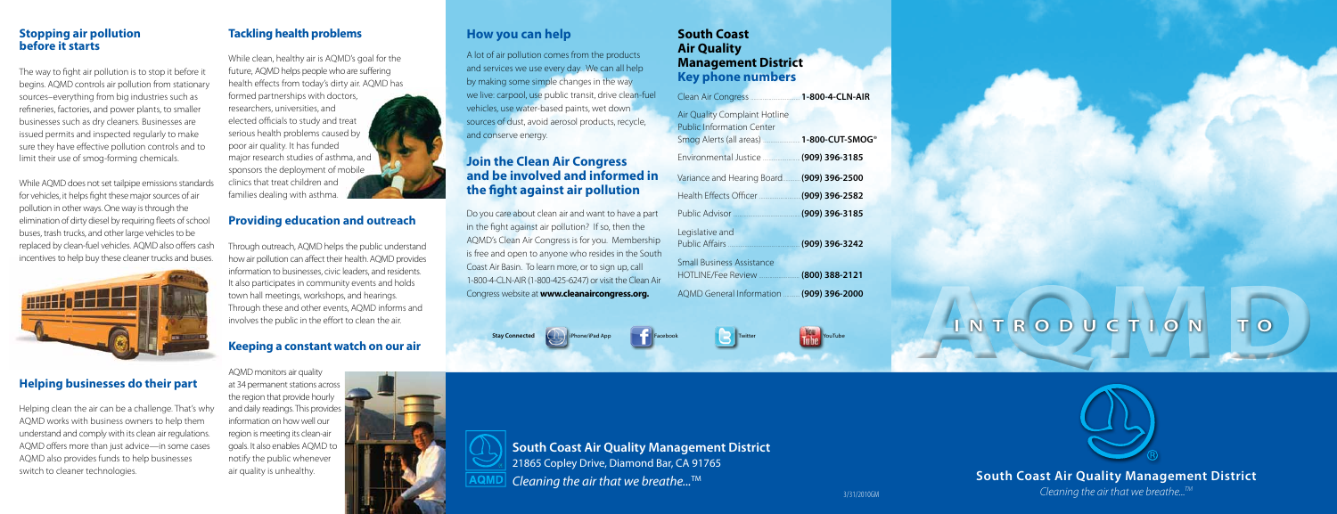# **South Coast Air Quality Management District**

Cleaning the air that we breathe... $^{TM}$ 

# **AQMD I N TROD <sup>U</sup> CTIO N T O**



### **How you can help**

A lot of air pollution comes from the products and services we use every day. We can all help by making some simple changes in the way we live: carpool, use public transit, drive clean-fuel vehicles, use water-based paints, wet down sources of dust, avoid aerosol products, recycle, and conserve energy.

## **Join the Clean Air Congress and be involved and informed in the !ght against air pollution**

Do you care about clean air and want to have a part in the fight against air pollution? If so, then the AQMD's Clean Air Congress is for you. Membership is free and open to anyone who resides in the South Coast Air Basin. To learn more, or to sign up, call 1-800-4-CLN-AIR (1-800-425-6247) or visit the Clean Air Congress website at **www.cleanaircongress.org.**

> **South Coast Air Quality Management District** 21865 Copley Drive, Diamond Bar, CA 91765 Cleaning the air that we breathe...<sup>TM</sup>



### **South Coast Air Quality Management District Key phone numbers**

The way to fight air pollution is to stop it before it begins. AQMD controls air pollution from stationary sources–everything from big industries such as refineries, factories, and power plants, to smaller businesses such as dry cleaners. Businesses are issued permits and inspected regularly to make sure they have effective pollution controls and to limit their use of smog-forming chemicals.

| Air Quality Complaint Hotline<br><b>Public Information Center</b> |                  |
|-------------------------------------------------------------------|------------------|
|                                                                   |                  |
| Variance and Hearing Board (909) 396-2500                         |                  |
|                                                                   |                  |
| Public Advisor (909) 396-3185                                     |                  |
| Legislative and                                                   | (909) 396-3242   |
| <b>Small Business Assistance</b>                                  | $(800)$ 388-2121 |

AQMD General Information ........... **(909) 396-2000**

**Stay Connected in the Connected** iPhone/iPad App **Facebook** Facebook Twitter Twitter Twitter Twitter Twitter Twitter





Through outreach, AQMD helps the public understand how air pollution can affect their health. AQMD provides information to businesses, civic leaders, and residents. It also participates in community events and holds town hall meetings, workshops, and hearings. Through these and other events, AQMD informs and involves the public in the effort to clean the air.

3/31/2010GM

### **Stopping air pollution before it starts**

While AQMD does not set tailpipe emissions standards for vehicles, it helps fight these major sources of air pollution in other ways. One way is through the elimination of dirty diesel by requiring fleets of school buses, trash trucks, and other large vehicles to be replaced by clean-fuel vehicles. AQMD also offers cash incentives to help buy these cleaner trucks and buses.



### **Helping businesses do their part**

Helping clean the air can be a challenge. That's why AQMD works with business owners to help them understand and comply with its clean air regulations. AQMD offers more than just advice—in some cases AQMD also provides funds to help businesses switch to cleaner technologies.

### **Tackling health problems**

While clean, healthy air is AQMD's goal for the future, AQMD helps people who are suffering health effects from today's dirty air. AQMD has formed partnerships with doctors, researchers, universities, and elected officials to study and treat serious health problems caused by poor air quality. It has funded major research studies of asthma, and sponsors the deployment of mobile clinics that treat children and families dealing with asthma.

### **Providing education and outreach**

### **Keeping a constant watch on our air**

AQMD monitors air quality at 34 permanent stations across the region that provide hourly and daily readings. This provides information on how well our region is meeting its clean-air goals. It also enables AQMD to notify the public whenever air quality is unhealthy.